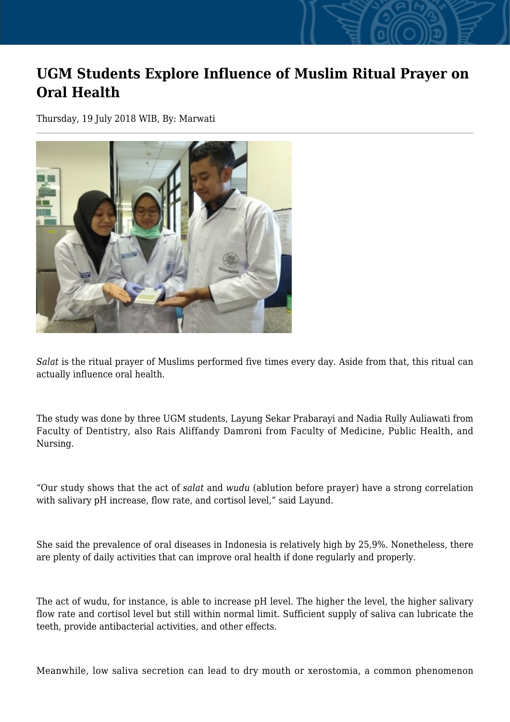## **UGM Students Explore Influence of Muslim Ritual Prayer on Oral Health**

Thursday, 19 July 2018 WIB, By: Marwati



*Salat* is the ritual prayer of Muslims performed five times every day. Aside from that, this ritual can actually influence oral health.

The study was done by three UGM students, Layung Sekar Prabarayi and Nadia Rully Auliawati from Faculty of Dentistry, also Rais Aliffandy Damroni from Faculty of Medicine, Public Health, and Nursing.

"Our study shows that the act of *salat* and *wudu* (ablution before prayer) have a strong correlation with salivary pH increase, flow rate, and cortisol level," said Layund.

She said the prevalence of oral diseases in Indonesia is relatively high by 25,9%. Nonetheless, there are plenty of daily activities that can improve oral health if done regularly and properly.

The act of wudu, for instance, is able to increase pH level. The higher the level, the higher salivary flow rate and cortisol level but still within normal limit. Sufficient supply of saliva can lubricate the teeth, provide antibacterial activities, and other effects.

Meanwhile, low saliva secretion can lead to dry mouth or xerostomia, a common phenomenon